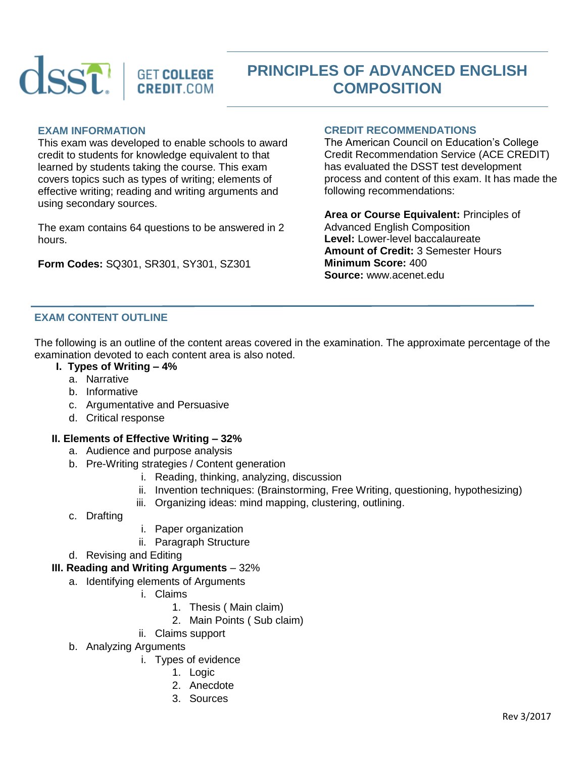

# **PRINCIPLES OF ADVANCED ENGLISH COMPOSITION**

#### **EXAM INFORMATION**

This exam was developed to enable schools to award credit to students for knowledge equivalent to that learned by students taking the course. This exam covers topics such as types of writing; elements of effective writing; reading and writing arguments and using secondary sources.

The exam contains 64 questions to be answered in 2 hours.

**Form Codes:** SQ301, SR301, SY301, SZ301

## **CREDIT RECOMMENDATIONS**

The American Council on Education's College Credit Recommendation Service (ACE CREDIT) has evaluated the DSST test development process and content of this exam. It has made the following recommendations:

**Area or Course Equivalent:** Principles of Advanced English Composition **Level:** Lower-level baccalaureate **Amount of Credit:** 3 Semester Hours **Minimum Score:** 400 **Source:** www.acenet.edu

# **EXAM CONTENT OUTLINE**

The following is an outline of the content areas covered in the examination. The approximate percentage of the examination devoted to each content area is also noted.

- **I. Types of Writing – 4%**
	- a. Narrative
	- b. Informative
	- c. Argumentative and Persuasive
	- d. Critical response

#### **II. Elements of Effective Writing – 32%**

- a. Audience and purpose analysis
- b. Pre-Writing strategies / Content generation
	- i. Reading, thinking, analyzing, discussion
	- ii. Invention techniques: (Brainstorming, Free Writing, questioning, hypothesizing)
	- iii. Organizing ideas: mind mapping, clustering, outlining.
- c. Drafting
- i. Paper organization
- ii. Paragraph Structure
- d. Revising and Editing

### **III. Reading and Writing Arguments** – 32%

- a. Identifying elements of Arguments
	- i. Claims
		- 1. Thesis ( Main claim)
		- 2. Main Points ( Sub claim)
	- ii. Claims support
- b. Analyzing Arguments
	- i. Types of evidence
		- 1. Logic
		- 2. Anecdote
		- 3. Sources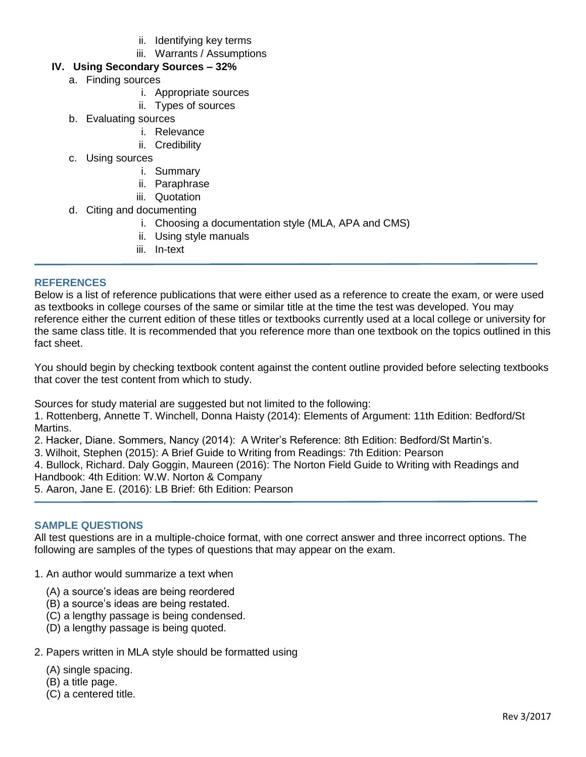- ii. Identifying key terms
- iii. Warrants / Assumptions

# **IV. Using Secondary Sources – 32%**

- a. Finding sources
	- i. Appropriate sources
	- ii. Types of sources
- b. Evaluating sources
	- i. Relevance
	- ii. Credibility
- c. Using sources
	- i. Summary
	- ii. Paraphrase
	- iii. Quotation
- d. Citing and documenting
	- i. Choosing a documentation style (MLA, APA and CMS)
	- ii. Using style manuals
	- iii. In-text

# **REFERENCES**

Below is a list of reference publications that were either used as a reference to create the exam, or were used as textbooks in college courses of the same or similar title at the time the test was developed. You may reference either the current edition of these titles or textbooks currently used at a local college or university for the same class title. It is recommended that you reference more than one textbook on the topics outlined in this fact sheet.

You should begin by checking textbook content against the content outline provided before selecting textbooks that cover the test content from which to study.

Sources for study material are suggested but not limited to the following:

1. Rottenberg, Annette T. Winchell, Donna Haisty (2014): Elements of Argument: 11th Edition: Bedford/St Martins.

2. Hacker, Diane. Sommers, Nancy (2014): A Writer's Reference: 8th Edition: Bedford/St Martin's.

3. Wilhoit, Stephen (2015): A Brief Guide to Writing from Readings: 7th Edition: Pearson

4. Bullock, Richard. Daly Goggin, Maureen (2016): The Norton Field Guide to Writing with Readings and Handbook: 4th Edition: W.W. Norton & Company

5. Aaron, Jane E. (2016): LB Brief: 6th Edition: Pearson

# **SAMPLE QUESTIONS**

All test questions are in a multiple-choice format, with one correct answer and three incorrect options. The following are samples of the types of questions that may appear on the exam.

- 1. An author would summarize a text when
	- (A) a source's ideas are being reordered
	- (B) a source's ideas are being restated.
	- (C) a lengthy passage is being condensed.
	- (D) a lengthy passage is being quoted.
- 2. Papers written in MLA style should be formatted using
	- (A) single spacing.
	- (B) a title page.
	- (C) a centered title.